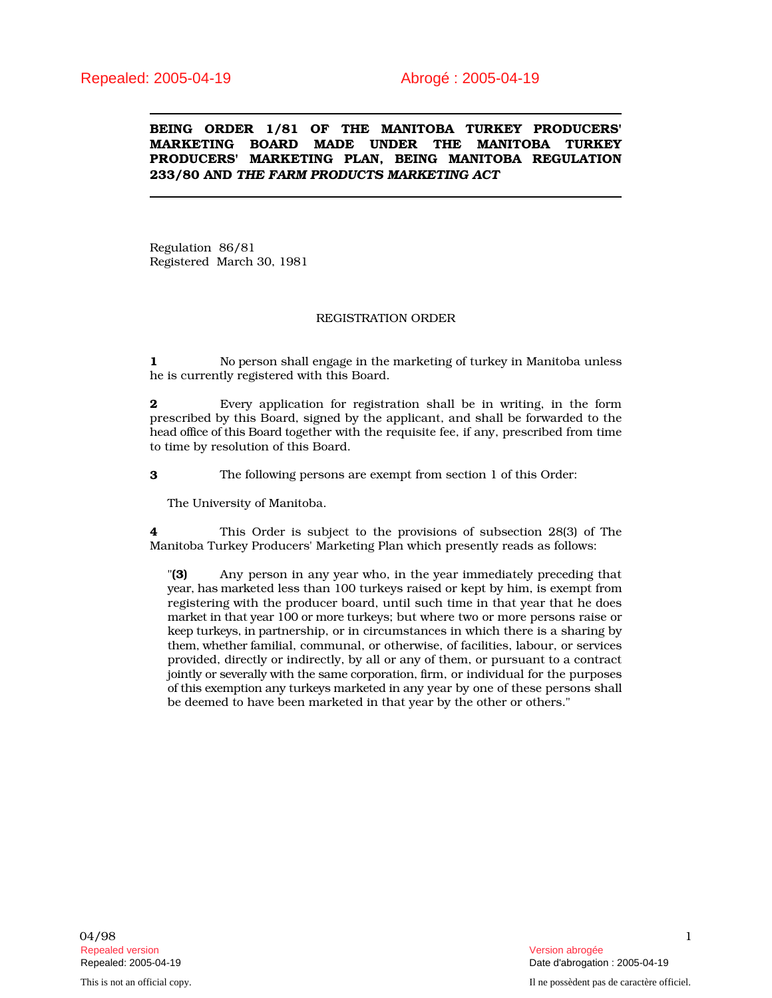## BEING ORDER 1/81 OF THE MANITOBA TURKEY PRODUCERS' MARKETING BOARD MADE UNDER THE MANITOBA TURKEY PRODUCERS' MARKETING PLAN, BEING MANITOBA REGULATION 233/80 AND *THE FARM PRODUCTS MARKETING ACT*

Regulation 86/81 Registered March 30, 1981

## REGISTRATION ORDER

1 No person shall engage in the marketing of turkey in Manitoba unless he is currently registered with this Board.

2 Every application for registration shall be in writing, in the form prescribed by this Board, signed by the applicant, and shall be forwarded to the head office of this Board together with the requisite fee, if any, prescribed from time to time by resolution of this Board.

3 The following persons are exempt from section 1 of this Order:

The University of Manitoba.

4 This Order is subject to the provisions of subsection 28(3) of The Manitoba Turkey Producers' Marketing Plan which presently reads as follows:

"(3) Any person in any year who, in the year immediately preceding that year, has marketed less than 100 turkeys raised or kept by him, is exempt from registering with the producer board, until such time in that year that he does market in that year 100 or more turkeys; but where two or more persons raise or keep turkeys, in partnership, or in circumstances in which there is a sharing by them, whether familial, communal, or otherwise, of facilities, labour, or services provided, directly or indirectly, by all or any of them, or pursuant to a contract jointly or severally with the same corporation, firm, or individual for the purposes of this exemption any turkeys marketed in any year by one of these persons shall be deemed to have been marketed in that year by the other or others."

 $04/98$  and  $1$ Repealed version abrogée (1999) and the set of the set of the set of the set of the version abrogée (1999) abrogée (1999) and the version abrogée (1999) and the version abrogée (1999) and the version abrogée (1999) and the